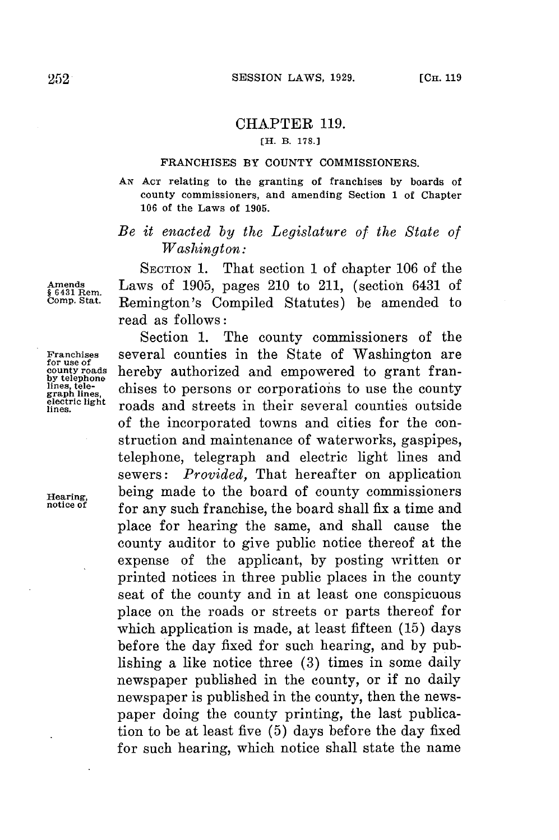## CHAPTER **119.**

## **[H. B. 178.J**

## **FRANCHISES BY COUNTY COMMISSIONERS.**

**AN ACT relating to the granting of franchises by boards of county commissioners, and amending Section 1 of Chapter 106 of the Laws of 1905.**

## *Be it enacted by the Legislature of the State of Washington:*

**SECTION 1.** That section 1 of chapter **106** of the **Amends** Laws of **1905,** pages 210 to 211, (section 6431 of **§ 6431 Rem. Comp. Stat.** Remington's Compiled Statutes) be amended to read as follows:

Section **1.** The county commissioners of the **Franchises** several counties in the State of Washington are **for use of** hereby authorized and empowered to grant franlines, tele-<br>graph lines,<br>electric light **roads** and streets in their several counties outside of the incorporated towns and cities for the construction and maintenance of waterworks, gaspipes, telephone, telegraph and electric light lines and sewers: *Provided,* That hereafter on application **Hearing,** being made to the board of county commissioners for any such franchise, the board shall fix a time and place for hearing the same, and shall cause the county auditor to give public notice thereof at the expense of the applicant, **by** posting written or printed notices in three public places in the county seat of the county and in at least one conspicuous place on the roads or streets or parts thereof for which application is made, at least fifteen **(15)** days before the day fixed **for** such hearing, and **by** publishing a like notice three **(3)** times in some daily newspaper published in the county, or if no daily newspaper is published in the county, then the newspaper doing the county printing, the last publication to be at least five **(5)** days before the day fixed for such hearing, which notice shall state the name

**by telephone**<br>by telephone<br>lines, tele-<br>graph lines,